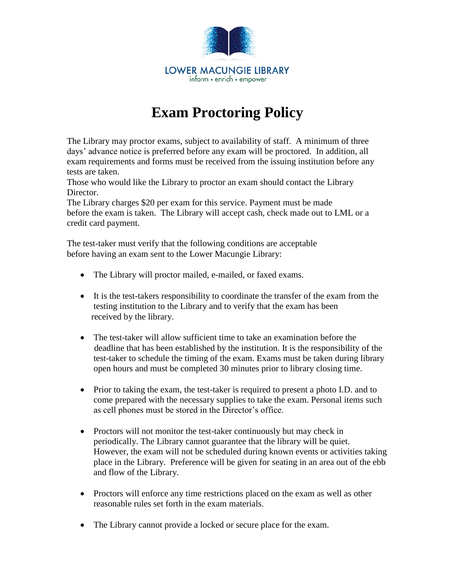

## **Exam Proctoring Policy**

The Library may proctor exams, subject to availability of staff. A minimum of three days' advance notice is preferred before any exam will be proctored. In addition, all exam requirements and forms must be received from the issuing institution before any tests are taken.

Those who would like the Library to proctor an exam should contact the Library Director.

The Library charges \$20 per exam for this service. Payment must be made before the exam is taken. The Library will accept cash, check made out to LML or a credit card payment.

The test-taker must verify that the following conditions are acceptable before having an exam sent to the Lower Macungie Library:

- The Library will proctor mailed, e-mailed, or faxed exams.
- It is the test-takers responsibility to coordinate the transfer of the exam from the testing institution to the Library and to verify that the exam has been received by the library.
- The test-taker will allow sufficient time to take an examination before the deadline that has been established by the institution. It is the responsibility of the test-taker to schedule the timing of the exam. Exams must be taken during library open hours and must be completed 30 minutes prior to library closing time.
- Prior to taking the exam, the test-taker is required to present a photo I.D. and to come prepared with the necessary supplies to take the exam. Personal items such as cell phones must be stored in the Director's office.
- Proctors will not monitor the test-taker continuously but may check in periodically. The Library cannot guarantee that the library will be quiet. However, the exam will not be scheduled during known events or activities taking place in the Library. Preference will be given for seating in an area out of the ebb and flow of the Library.
- Proctors will enforce any time restrictions placed on the exam as well as other reasonable rules set forth in the exam materials.
- The Library cannot provide a locked or secure place for the exam.